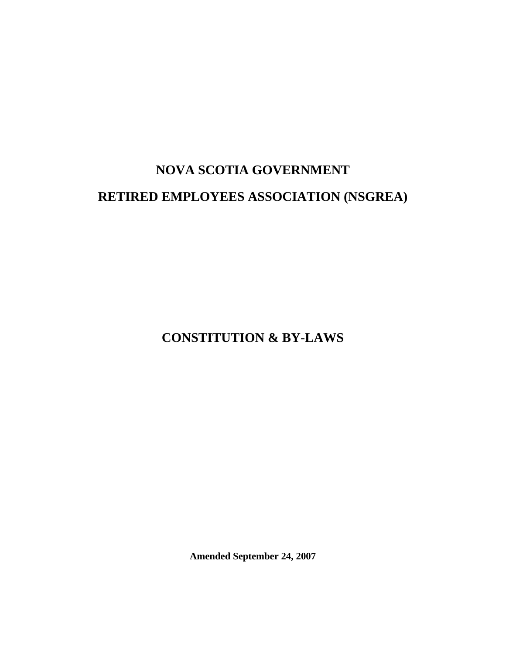# **NOVA SCOTIA GOVERNMENT RETIRED EMPLOYEES ASSOCIATION (NSGREA)**

**CONSTITUTION & BY-LAWS** 

**Amended September 24, 2007**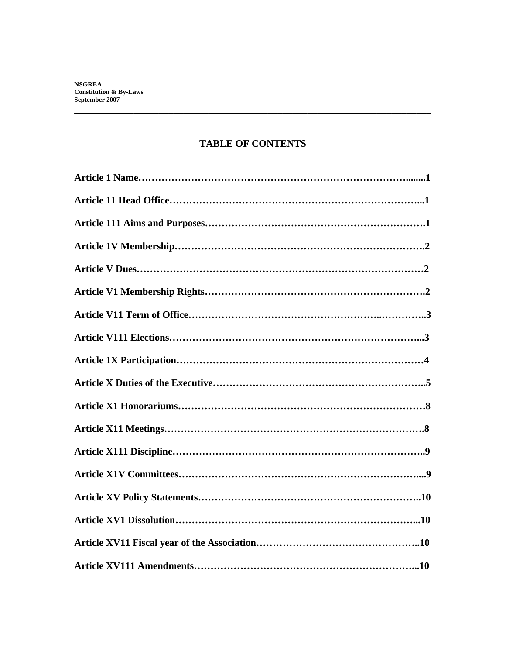# **TABLE OF CONTENTS**

**\_\_\_\_\_\_\_\_\_\_\_\_\_\_\_\_\_\_\_\_\_\_\_\_\_\_\_\_\_\_\_\_\_\_\_\_\_\_\_\_\_\_\_\_\_\_\_\_\_\_\_\_\_\_\_\_\_\_\_\_\_\_\_\_\_\_\_\_\_\_\_\_**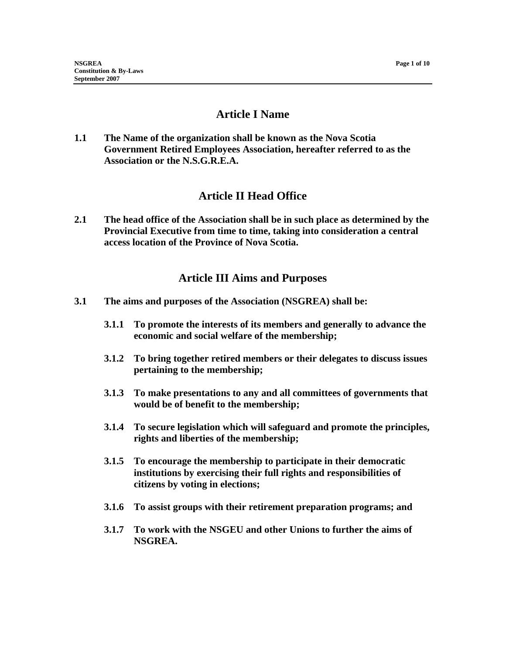# **Article I Name**

**1.1 The Name of the organization shall be known as the Nova Scotia Government Retired Employees Association, hereafter referred to as the Association or the N.S.G.R.E.A.** 

# **Article II Head Office**

**2.1 The head office of the Association shall be in such place as determined by the Provincial Executive from time to time, taking into consideration a central access location of the Province of Nova Scotia.** 

# **Article III Aims and Purposes**

- **3.1 The aims and purposes of the Association (NSGREA) shall be:** 
	- **3.1.1 To promote the interests of its members and generally to advance the economic and social welfare of the membership;**
	- **3.1.2 To bring together retired members or their delegates to discuss issues pertaining to the membership;**
	- **3.1.3 To make presentations to any and all committees of governments that would be of benefit to the membership;**
	- **3.1.4 To secure legislation which will safeguard and promote the principles, rights and liberties of the membership;**
	- **3.1.5 To encourage the membership to participate in their democratic institutions by exercising their full rights and responsibilities of citizens by voting in elections;**
	- **3.1.6 To assist groups with their retirement preparation programs; and**
	- **3.1.7 To work with the NSGEU and other Unions to further the aims of NSGREA.**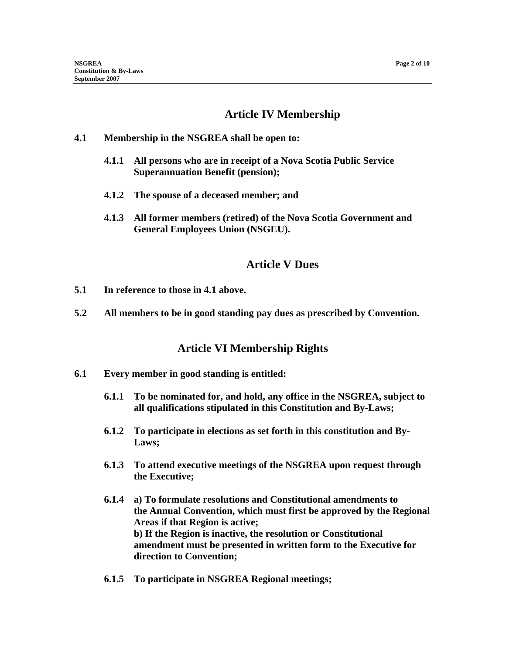# **Article IV Membership**

#### **4.1 Membership in the NSGREA shall be open to:**

- **4.1.1 All persons who are in receipt of a Nova Scotia Public Service Superannuation Benefit (pension);**
- **4.1.2 The spouse of a deceased member; and**
- **4.1.3 All former members (retired) of the Nova Scotia Government and General Employees Union (NSGEU).**

## **Article V Dues**

- **5.1 In reference to those in 4.1 above.**
- **5.2 All members to be in good standing pay dues as prescribed by Convention.**

## **Article VI Membership Rights**

- **6.1 Every member in good standing is entitled:** 
	- **6.1.1 To be nominated for, and hold, any office in the NSGREA, subject to all qualifications stipulated in this Constitution and By-Laws;**
	- **6.1.2 To participate in elections as set forth in this constitution and By-Laws;**
	- **6.1.3 To attend executive meetings of the NSGREA upon request through the Executive;**
	- **6.1.4 a) To formulate resolutions and Constitutional amendments to the Annual Convention, which must first be approved by the Regional Areas if that Region is active; b) If the Region is inactive, the resolution or Constitutional amendment must be presented in written form to the Executive for direction to Convention;**
	- **6.1.5 To participate in NSGREA Regional meetings;**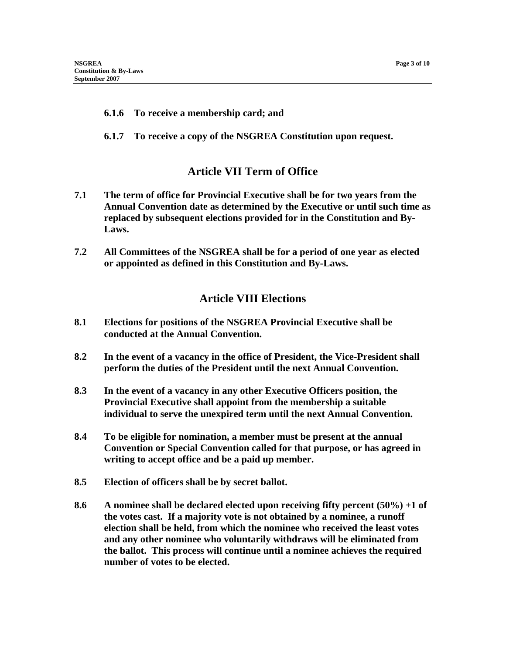#### **6.1.6 To receive a membership card; and**

**6.1.7 To receive a copy of the NSGREA Constitution upon request.** 

#### **Article VII Term of Office**

- **7.1 The term of office for Provincial Executive shall be for two years from the Annual Convention date as determined by the Executive or until such time as replaced by subsequent elections provided for in the Constitution and By-Laws.**
- **7.2 All Committees of the NSGREA shall be for a period of one year as elected or appointed as defined in this Constitution and By-Laws.**

## **Article VIII Elections**

- **8.1 Elections for positions of the NSGREA Provincial Executive shall be conducted at the Annual Convention.**
- **8.2 In the event of a vacancy in the office of President, the Vice-President shall perform the duties of the President until the next Annual Convention.**
- **8.3 In the event of a vacancy in any other Executive Officers position, the Provincial Executive shall appoint from the membership a suitable individual to serve the unexpired term until the next Annual Convention.**
- **8.4 To be eligible for nomination, a member must be present at the annual Convention or Special Convention called for that purpose, or has agreed in writing to accept office and be a paid up member.**
- **8.5 Election of officers shall be by secret ballot.**
- **8.6 A nominee shall be declared elected upon receiving fifty percent (50%) +1 of the votes cast. If a majority vote is not obtained by a nominee, a runoff election shall be held, from which the nominee who received the least votes and any other nominee who voluntarily withdraws will be eliminated from the ballot. This process will continue until a nominee achieves the required number of votes to be elected.**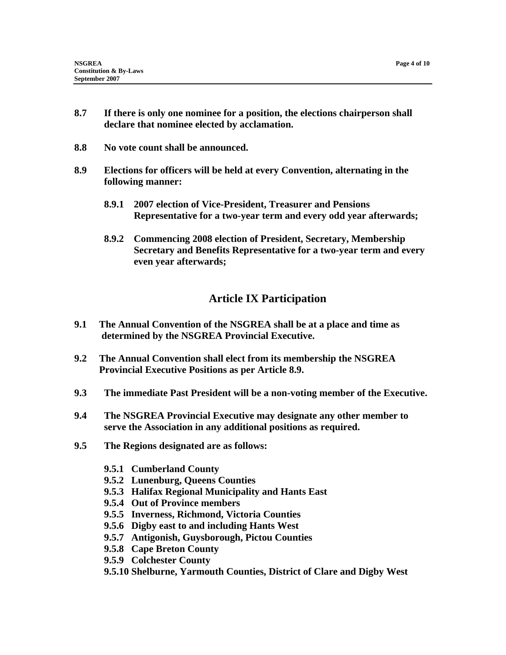- **8.7 If there is only one nominee for a position, the elections chairperson shall declare that nominee elected by acclamation.**
- **8.8 No vote count shall be announced.**
- **8.9 Elections for officers will be held at every Convention, alternating in the following manner:** 
	- **8.9.1 2007 election of Vice-President, Treasurer and Pensions Representative for a two-year term and every odd year afterwards;**
	- **8.9.2 Commencing 2008 election of President, Secretary, Membership Secretary and Benefits Representative for a two-year term and every even year afterwards;**

# **Article IX Participation**

- **9.1 The Annual Convention of the NSGREA shall be at a place and time as determined by the NSGREA Provincial Executive.**
- **9.2 The Annual Convention shall elect from its membership the NSGREA Provincial Executive Positions as per Article 8.9.**
- **9.3 The immediate Past President will be a non-voting member of the Executive.**
- **9.4 The NSGREA Provincial Executive may designate any other member to serve the Association in any additional positions as required.**
- **9.5 The Regions designated are as follows:** 
	- **9.5.1 Cumberland County**
	- **9.5.2 Lunenburg, Queens Counties**
	- **9.5.3 Halifax Regional Municipality and Hants East**
	- **9.5.4 Out of Province members**
	- **9.5.5 Inverness, Richmond, Victoria Counties**
	- **9.5.6 Digby east to and including Hants West**
	- **9.5.7 Antigonish, Guysborough, Pictou Counties**
	- **9.5.8 Cape Breton County**
	- **9.5.9 Colchester County**
	- **9.5.10 Shelburne, Yarmouth Counties, District of Clare and Digby West**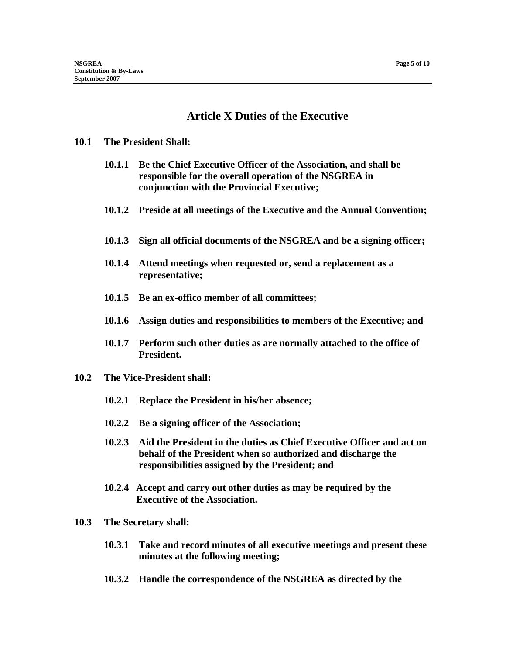# **Article X Duties of the Executive**

#### **10.1 The President Shall:**

- **10.1.1 Be the Chief Executive Officer of the Association, and shall be responsible for the overall operation of the NSGREA in conjunction with the Provincial Executive;**
- **10.1.2 Preside at all meetings of the Executive and the Annual Convention;**
- **10.1.3 Sign all official documents of the NSGREA and be a signing officer;**
- **10.1.4 Attend meetings when requested or, send a replacement as a representative;**
- **10.1.5 Be an ex-offico member of all committees;**
- **10.1.6 Assign duties and responsibilities to members of the Executive; and**
- **10.1.7 Perform such other duties as are normally attached to the office of President.**
- **10.2 The Vice-President shall:** 
	- **10.2.1 Replace the President in his/her absence;**
	- **10.2.2 Be a signing officer of the Association;**
	- **10.2.3 Aid the President in the duties as Chief Executive Officer and act on behalf of the President when so authorized and discharge the responsibilities assigned by the President; and**
	- **10.2.4 Accept and carry out other duties as may be required by the Executive of the Association.**
- **10.3 The Secretary shall:** 
	- **10.3.1 Take and record minutes of all executive meetings and present these minutes at the following meeting;**
	- **10.3.2 Handle the correspondence of the NSGREA as directed by the**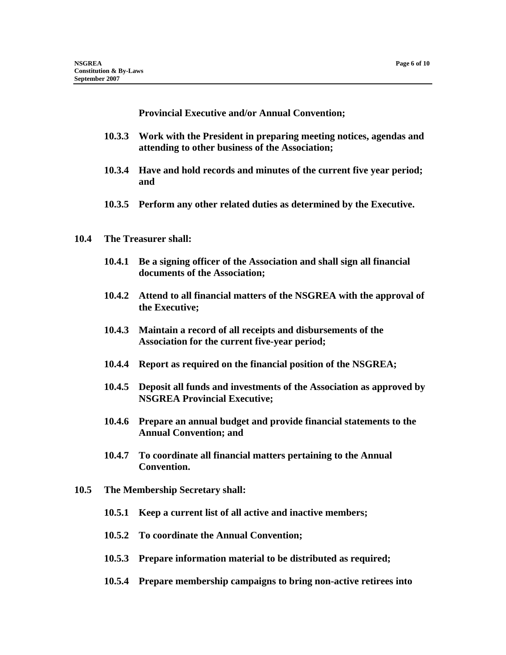**Provincial Executive and/or Annual Convention;** 

- **10.3.3 Work with the President in preparing meeting notices, agendas and attending to other business of the Association;**
- **10.3.4 Have and hold records and minutes of the current five year period; and**
- **10.3.5 Perform any other related duties as determined by the Executive.**

#### **10.4 The Treasurer shall:**

- **10.4.1 Be a signing officer of the Association and shall sign all financial documents of the Association;**
- **10.4.2 Attend to all financial matters of the NSGREA with the approval of the Executive;**
- **10.4.3 Maintain a record of all receipts and disbursements of the Association for the current five-year period;**
- **10.4.4 Report as required on the financial position of the NSGREA;**
- **10.4.5 Deposit all funds and investments of the Association as approved by NSGREA Provincial Executive;**
- **10.4.6 Prepare an annual budget and provide financial statements to the Annual Convention; and**
- **10.4.7 To coordinate all financial matters pertaining to the Annual Convention.**
- **10.5 The Membership Secretary shall:** 
	- **10.5.1 Keep a current list of all active and inactive members;**
	- **10.5.2 To coordinate the Annual Convention;**
	- **10.5.3 Prepare information material to be distributed as required;**
	- **10.5.4 Prepare membership campaigns to bring non-active retirees into**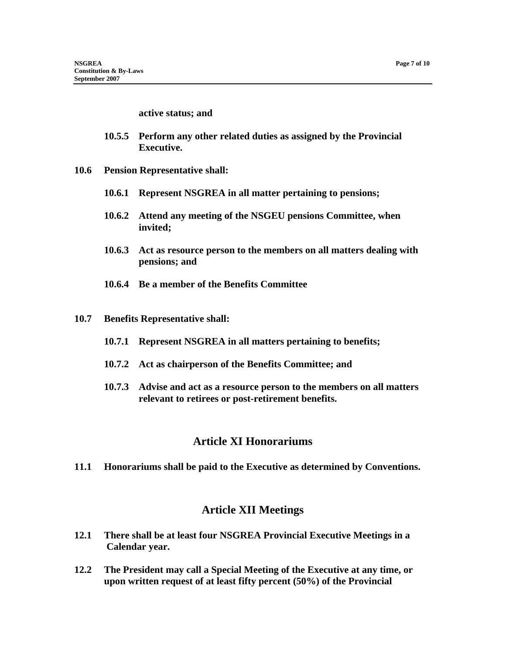#### **active status; and**

- **10.5.5 Perform any other related duties as assigned by the Provincial Executive.**
- **10.6 Pension Representative shall:** 
	- **10.6.1 Represent NSGREA in all matter pertaining to pensions;**
	- **10.6.2 Attend any meeting of the NSGEU pensions Committee, when invited;**
	- **10.6.3 Act as resource person to the members on all matters dealing with pensions; and**
	- **10.6.4 Be a member of the Benefits Committee**
- **10.7 Benefits Representative shall:** 
	- **10.7.1 Represent NSGREA in all matters pertaining to benefits;**
	- **10.7.2 Act as chairperson of the Benefits Committee; and**
	- **10.7.3 Advise and act as a resource person to the members on all matters relevant to retirees or post-retirement benefits.**

#### **Article XI Honorariums**

**11.1 Honorariums shall be paid to the Executive as determined by Conventions.** 

#### **Article XII Meetings**

- **12.1 There shall be at least four NSGREA Provincial Executive Meetings in a Calendar year.**
- **12.2 The President may call a Special Meeting of the Executive at any time, or upon written request of at least fifty percent (50%) of the Provincial**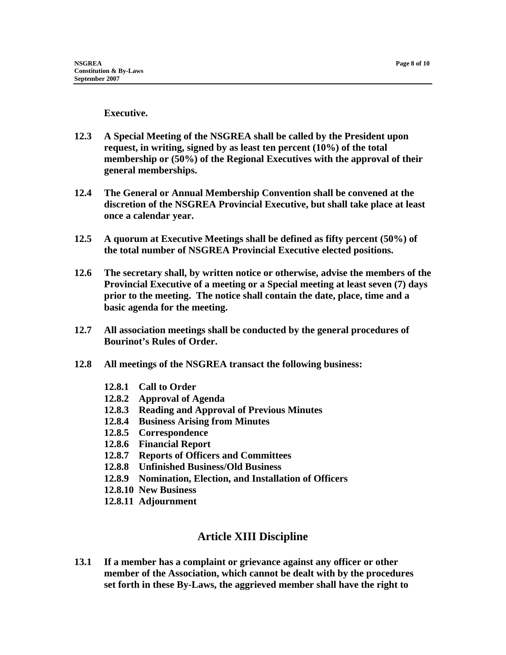**Executive.** 

- **12.3 A Special Meeting of the NSGREA shall be called by the President upon request, in writing, signed by as least ten percent (10%) of the total membership or (50%) of the Regional Executives with the approval of their general memberships.**
- **12.4 The General or Annual Membership Convention shall be convened at the discretion of the NSGREA Provincial Executive, but shall take place at least once a calendar year.**
- **12.5 A quorum at Executive Meetings shall be defined as fifty percent (50%) of the total number of NSGREA Provincial Executive elected positions.**
- **12.6 The secretary shall, by written notice or otherwise, advise the members of the Provincial Executive of a meeting or a Special meeting at least seven (7) days prior to the meeting. The notice shall contain the date, place, time and a basic agenda for the meeting.**
- **12.7 All association meetings shall be conducted by the general procedures of Bourinot's Rules of Order.**
- **12.8 All meetings of the NSGREA transact the following business:** 
	- **12.8.1 Call to Order**
	- **12.8.2 Approval of Agenda**
	- **12.8.3 Reading and Approval of Previous Minutes**
	- **12.8.4 Business Arising from Minutes**
	- **12.8.5 Correspondence**
	- **12.8.6 Financial Report**
	- **12.8.7 Reports of Officers and Committees**
	- **12.8.8 Unfinished Business/Old Business**
	- **12.8.9 Nomination, Election, and Installation of Officers**
	- **12.8.10 New Business**
	- **12.8.11 Adjournment**

## **Article XIII Discipline**

**13.1 If a member has a complaint or grievance against any officer or other member of the Association, which cannot be dealt with by the procedures set forth in these By-Laws, the aggrieved member shall have the right to**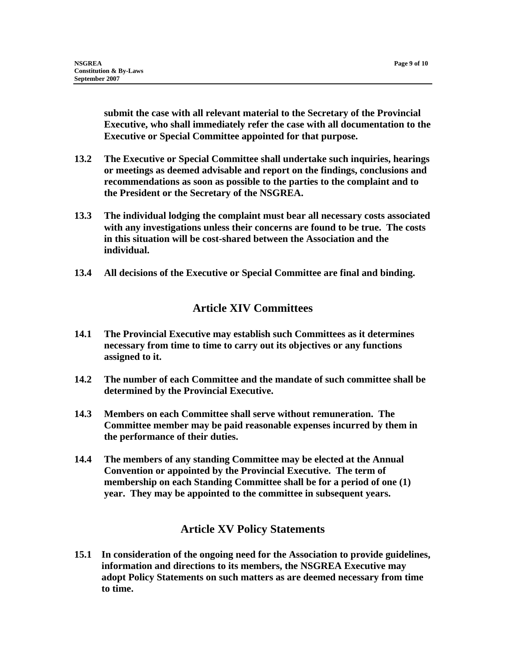**submit the case with all relevant material to the Secretary of the Provincial Executive, who shall immediately refer the case with all documentation to the Executive or Special Committee appointed for that purpose.** 

- **13.2 The Executive or Special Committee shall undertake such inquiries, hearings or meetings as deemed advisable and report on the findings, conclusions and recommendations as soon as possible to the parties to the complaint and to the President or the Secretary of the NSGREA.**
- **13.3 The individual lodging the complaint must bear all necessary costs associated with any investigations unless their concerns are found to be true. The costs in this situation will be cost-shared between the Association and the individual.**
- **13.4 All decisions of the Executive or Special Committee are final and binding.**

# **Article XIV Committees**

- **14.1 The Provincial Executive may establish such Committees as it determines necessary from time to time to carry out its objectives or any functions assigned to it.**
- **14.2 The number of each Committee and the mandate of such committee shall be determined by the Provincial Executive.**
- **14.3 Members on each Committee shall serve without remuneration. The Committee member may be paid reasonable expenses incurred by them in the performance of their duties.**
- **14.4 The members of any standing Committee may be elected at the Annual Convention or appointed by the Provincial Executive. The term of membership on each Standing Committee shall be for a period of one (1) year. They may be appointed to the committee in subsequent years.**

# **Article XV Policy Statements**

**15.1 In consideration of the ongoing need for the Association to provide guidelines, information and directions to its members, the NSGREA Executive may adopt Policy Statements on such matters as are deemed necessary from time to time.**